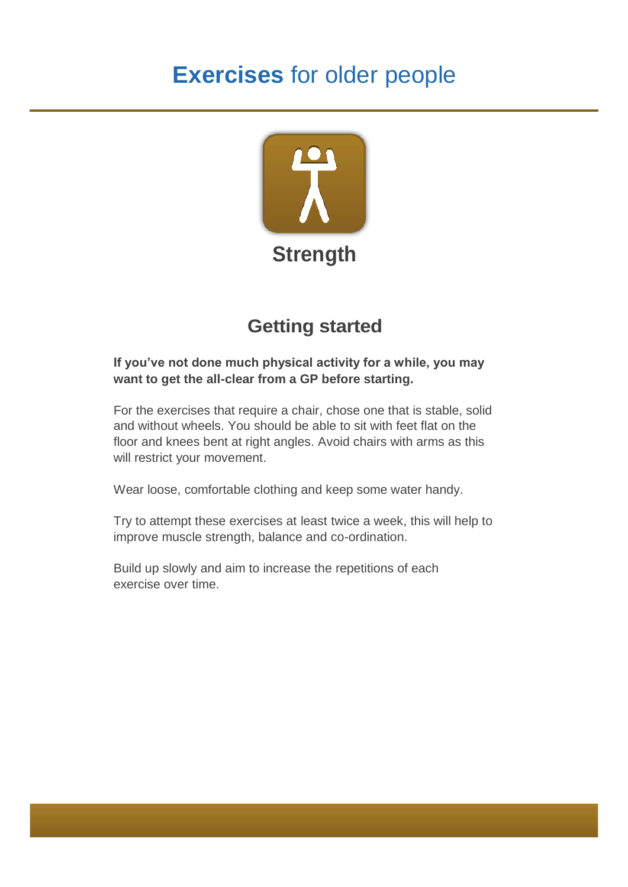# **Exercises** for older people



## **Getting started**

#### **If you've not done much physical activity for a while, you may want to get the all-clear from a GP before starting.**

For the exercises that require a chair, chose one that is stable, solid and without wheels. You should be able to sit with feet flat on the floor and knees bent at right angles. Avoid chairs with arms as this will restrict your movement.

Wear loose, comfortable clothing and keep some water handy.

Try to attempt these exercises at least twice a week, this will help to improve muscle strength, balance and co-ordination.

Build up slowly and aim to increase the repetitions of each exercise over time.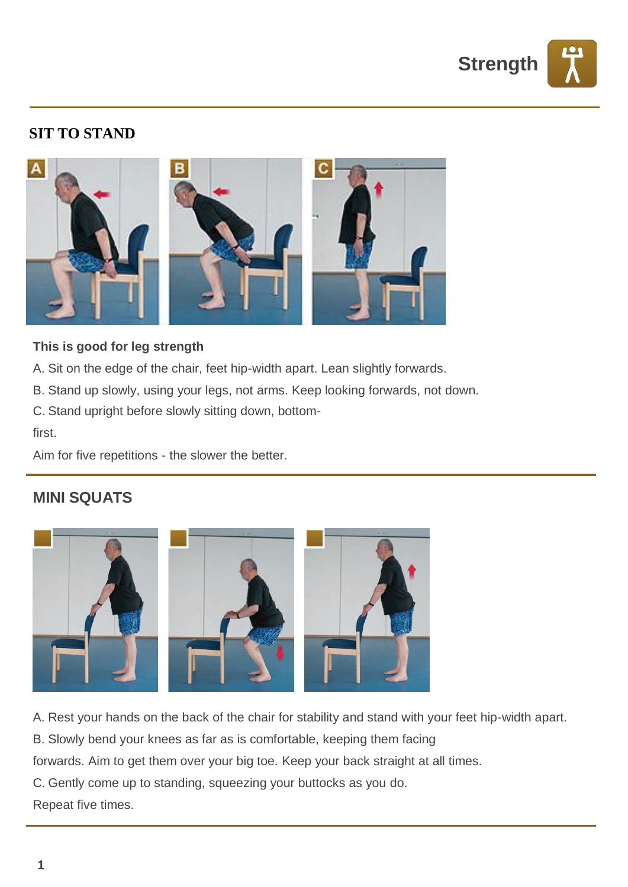

#### **SIT TO STAND**



#### **This is good for leg strength**

- A. Sit on the edge of the chair, feet hip-width apart. Lean slightly forwards.
- B. Stand up slowly, using your legs, not arms. Keep looking forwards, not down.
- C. Stand upright before slowly sitting down, bottom-

first.

Aim for five repetitions - the slower the better.

#### **MINI SQUATS**



A. Rest your hands on the back of the chair for stability and stand with your feet hip-width apart.

B. Slowly bend your knees as far as is comfortable, keeping them facing

forwards. Aim to get them over your big toe. Keep your back straight at all times.

C. Gently come up to standing, squeezing your buttocks as you do.

Repeat five times.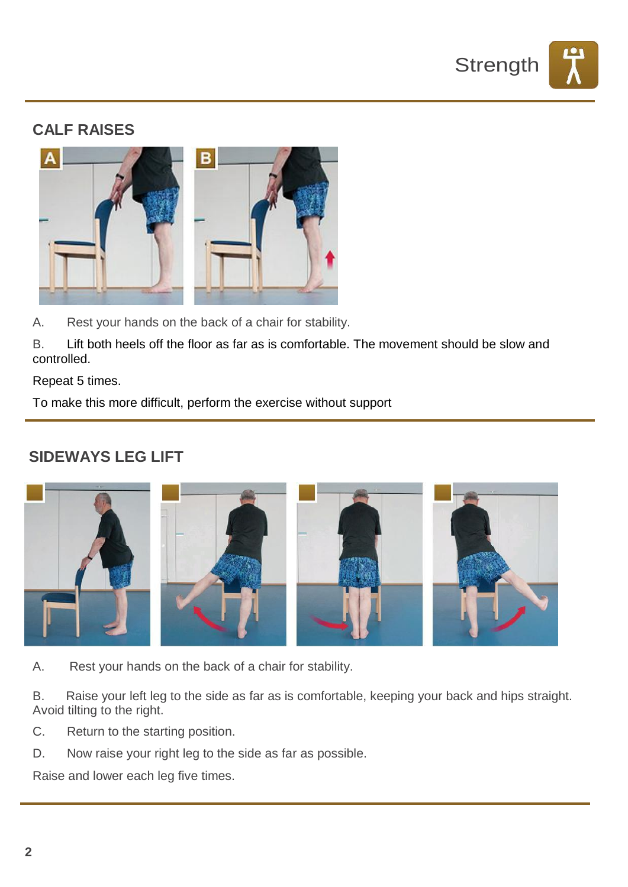

#### **CALF RAISES**



A. Rest your hands on the back of a chair for stability.

B. Lift both heels off the floor as far as is comfortable. The movement should be slow and controlled.

Repeat 5 times.

To make this more difficult, perform the exercise without support

#### **SIDEWAYS LEG LIFT**



- A. Rest your hands on the back of a chair for stability.
- B. Raise your left leg to the side as far as is comfortable, keeping your back and hips straight. Avoid tilting to the right.
- C. Return to the starting position.
- D. Now raise your right leg to the side as far as possible.

Raise and lower each leg five times.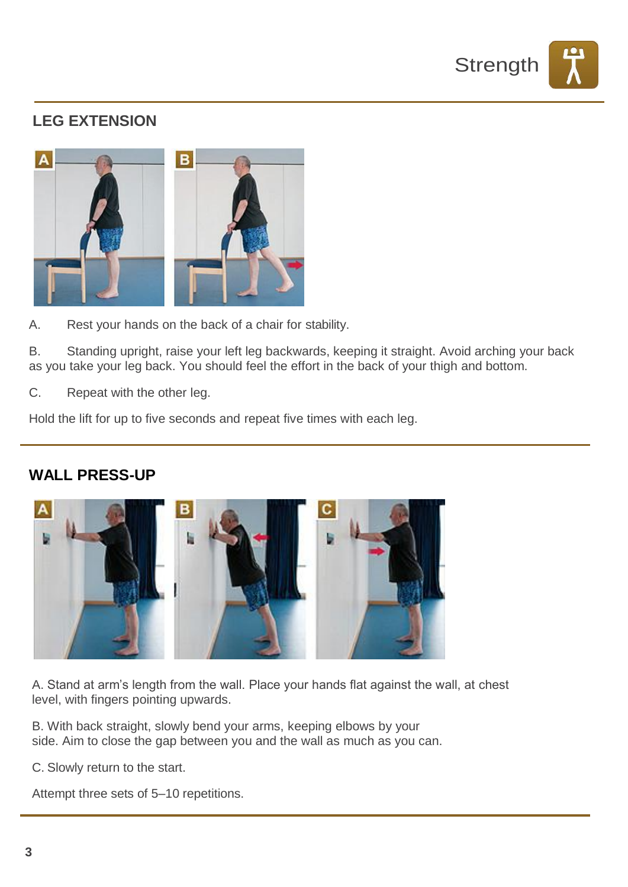

## **LEG EXTENSION**



A. Rest your hands on the back of a chair for stability.

B. Standing upright, raise your left leg backwards, keeping it straight. Avoid arching your back as you take your leg back. You should feel the effort in the back of your thigh and bottom.

C. Repeat with the other leg.

Hold the lift for up to five seconds and repeat five times with each leg.

#### **WALL PRESS-UP**



A. Stand at arm's length from the wall. Place your hands flat against the wall, at chest level, with fingers pointing upwards.

B. With back straight, slowly bend your arms, keeping elbows by your side. Aim to close the gap between you and the wall as much as you can.

C. Slowly return to the start.

Attempt three sets of 5–10 repetitions.